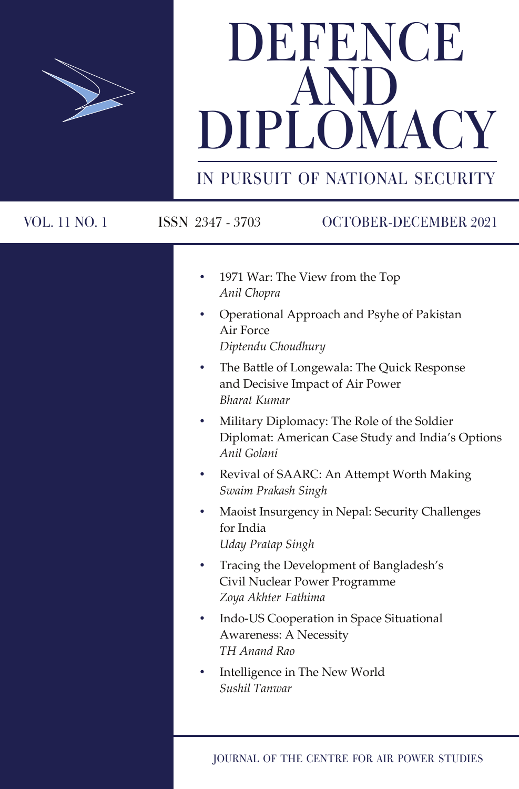

# diplomacy DEFENCE A

### in pursuit of national security

| <b>VOL. 11 NO. 1</b> | OCTOBER-DECEMBER 2021<br>ISSN 2347 - 3703                                                                                                         |
|----------------------|---------------------------------------------------------------------------------------------------------------------------------------------------|
|                      | 1971 War: The View from the Top<br>$\bullet$<br>Anil Chopra<br>Operational Approach and Psyhe of Pakistan<br>٠<br>Air Force<br>Diptendu Choudhury |
|                      | The Battle of Longewala: The Quick Response<br>۰<br>and Decisive Impact of Air Power<br><b>Bharat Kumar</b>                                       |
|                      | Military Diplomacy: The Role of the Soldier<br>٠<br>Diplomat: American Case Study and India's Options<br>Anil Golani                              |
|                      | Revival of SAARC: An Attempt Worth Making<br>٠<br>Swaim Prakash Singh                                                                             |
|                      | Maoist Insurgency in Nepal: Security Challenges<br>٠<br>for India<br>Uday Pratap Singh                                                            |
|                      | Tracing the Development of Bangladesh's<br>٠<br>Civil Nuclear Power Programme<br>Zoya Akhter Fathima                                              |
|                      | Indo-US Cooperation in Space Situational<br>٠<br><b>Awareness: A Necessity</b><br>TH Anand Rao                                                    |
|                      | Intelligence in The New World<br>٠<br>Sushil Tanwar                                                                                               |
|                      |                                                                                                                                                   |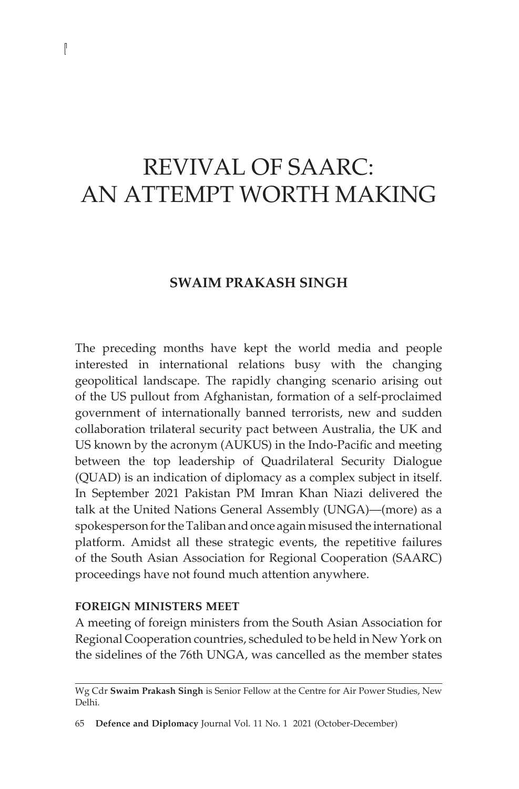## REVIVAL OF SAARC: AN ATTEMPT WORTH MAKING

#### **SWAIM PRAKASH SINGH**

The preceding months have kept the world media and people interested in international relations busy with the changing geopolitical landscape. The rapidly changing scenario arising out of the US pullout from Afghanistan, formation of a self-proclaimed government of internationally banned terrorists, new and sudden collaboration trilateral security pact between Australia, the UK and US known by the acronym (AUKUS) in the Indo-Pacific and meeting between the top leadership of Quadrilateral Security Dialogue (QUAD) is an indication of diplomacy as a complex subject in itself. In September 2021 Pakistan PM Imran Khan Niazi delivered the talk at the United Nations General Assembly (UNGA)—(more) as a spokesperson for the Taliban and once again misused the international platform. Amidst all these strategic events, the repetitive failures of the South Asian Association for Regional Cooperation (SAARC) proceedings have not found much attention anywhere.

#### **FOREIGN MINISTERS MEET**

A meeting of foreign ministers from the South Asian Association for Regional Cooperation countries, scheduled to be held in New York on the sidelines of the 76th UNGA, was cancelled as the member states

65 **Defence and Diplomacy** Journal Vol. 11 No. 1 2021 (October-December)

Wg Cdr **Swaim Prakash Singh** is Senior Fellow at the Centre for Air Power Studies, New Delhi.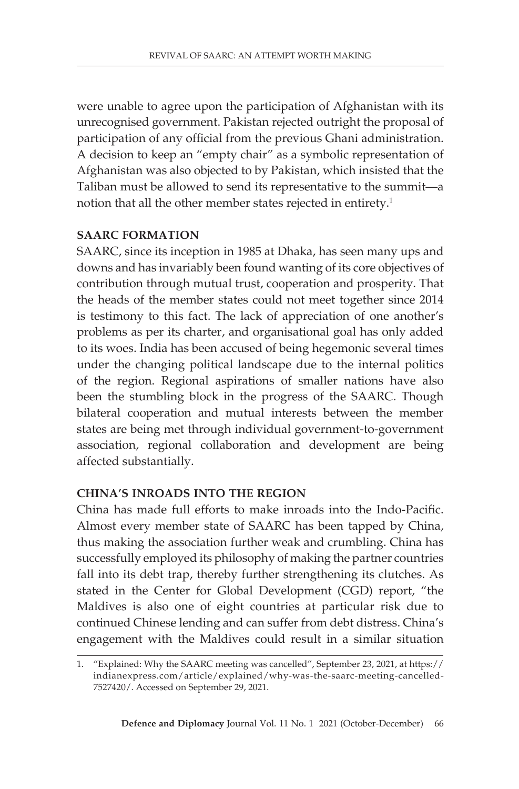were unable to agree upon the participation of Afghanistan with its unrecognised government. Pakistan rejected outright the proposal of participation of any official from the previous Ghani administration. A decision to keep an "empty chair" as a symbolic representation of Afghanistan was also objected to by Pakistan, which insisted that the Taliban must be allowed to send its representative to the summit—a notion that all the other member states rejected in entirety.1

#### **SAARC FORMATION**

SAARC, since its inception in 1985 at Dhaka, has seen many ups and downs and has invariably been found wanting of its core objectives of contribution through mutual trust, cooperation and prosperity. That the heads of the member states could not meet together since 2014 is testimony to this fact. The lack of appreciation of one another's problems as per its charter, and organisational goal has only added to its woes. India has been accused of being hegemonic several times under the changing political landscape due to the internal politics of the region. Regional aspirations of smaller nations have also been the stumbling block in the progress of the SAARC. Though bilateral cooperation and mutual interests between the member states are being met through individual government-to-government association, regional collaboration and development are being affected substantially.

#### **CHINA'S INROADS INTO THE REGION**

China has made full efforts to make inroads into the Indo-Pacific. Almost every member state of SAARC has been tapped by China, thus making the association further weak and crumbling. China has successfully employed its philosophy of making the partner countries fall into its debt trap, thereby further strengthening its clutches. As stated in the Center for Global Development (CGD) report, "the Maldives is also one of eight countries at particular risk due to continued Chinese lending and can suffer from debt distress. China's engagement with the Maldives could result in a similar situation

<sup>1.</sup> "Explained: Why the SAARC meeting was cancelled", September 23, 2021, at https:// indianexpress.com/article/explained/why-was-the-saarc-meeting-cancelled-7527420/. Accessed on September 29, 2021.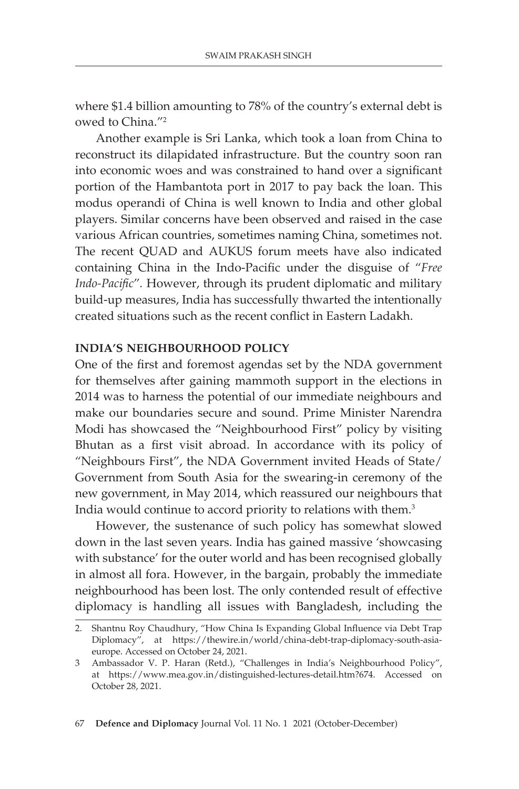where \$1.4 billion amounting to 78% of the country's external debt is owed to China."2

Another example is Sri Lanka, which took a loan from China to reconstruct its dilapidated infrastructure. But the country soon ran into economic woes and was constrained to hand over a significant portion of the Hambantota port in 2017 to pay back the loan. This modus operandi of China is well known to India and other global players. Similar concerns have been observed and raised in the case various African countries, sometimes naming China, sometimes not. The recent QUAD and AUKUS forum meets have also indicated containing China in the Indo-Pacific under the disguise of "*Free Indo-Pacific*"*.* However, through its prudent diplomatic and military build-up measures, India has successfully thwarted the intentionally created situations such as the recent conflict in Eastern Ladakh.

#### **INDIA'S NEIGHBOURHOOD POLICY**

One of the first and foremost agendas set by the NDA government for themselves after gaining mammoth support in the elections in 2014 was to harness the potential of our immediate neighbours and make our boundaries secure and sound. Prime Minister Narendra Modi has showcased the "Neighbourhood First" policy by visiting Bhutan as a first visit abroad. In accordance with its policy of "Neighbours First", the NDA Government invited Heads of State/ Government from South Asia for the swearing-in ceremony of the new government, in May 2014, which reassured our neighbours that India would continue to accord priority to relations with them.<sup>3</sup>

However, the sustenance of such policy has somewhat slowed down in the last seven years. India has gained massive 'showcasing with substance' for the outer world and has been recognised globally in almost all fora. However, in the bargain, probably the immediate neighbourhood has been lost. The only contended result of effective diplomacy is handling all issues with Bangladesh, including the

<sup>2.</sup> Shantnu Roy Chaudhury, "How China Is Expanding Global Influence via Debt Trap Diplomacy", at https://thewire.in/world/china-debt-trap-diplomacy-south-asiaeurope. Accessed on October 24, 2021.

<sup>3</sup> Ambassador V. P. Haran (Retd.), "Challenges in India's Neighbourhood Policy", at https://www.mea.gov.in/distinguished-lectures-detail.htm?674. Accessed on October 28, 2021.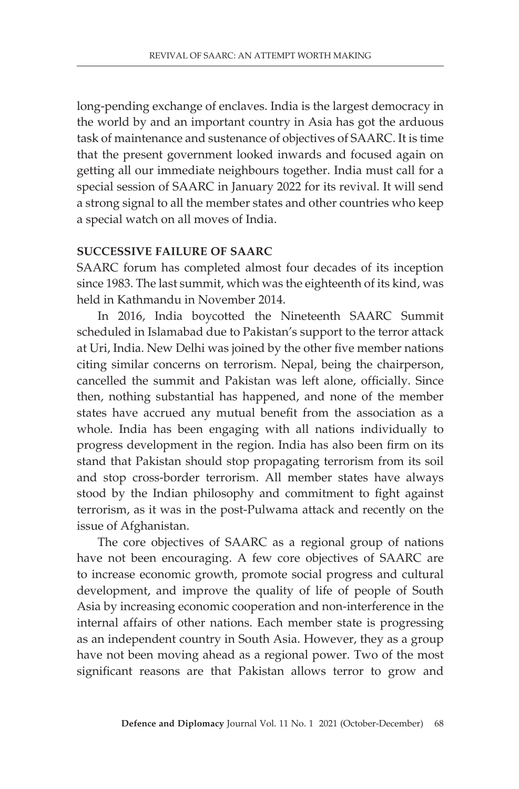long-pending exchange of enclaves. India is the largest democracy in the world by and an important country in Asia has got the arduous task of maintenance and sustenance of objectives of SAARC. It is time that the present government looked inwards and focused again on getting all our immediate neighbours together. India must call for a special session of SAARC in January 2022 for its revival. It will send a strong signal to all the member states and other countries who keep a special watch on all moves of India.

#### **SUCCESSIVE FAILURE OF SAARC**

SAARC forum has completed almost four decades of its inception since 1983. The last summit, which was the eighteenth of its kind, was held in Kathmandu in November 2014.

In 2016, India boycotted the Nineteenth SAARC Summit scheduled in Islamabad due to Pakistan's support to the terror attack at Uri, India. New Delhi was joined by the other five member nations citing similar concerns on terrorism. Nepal, being the chairperson, cancelled the summit and Pakistan was left alone, officially. Since then, nothing substantial has happened, and none of the member states have accrued any mutual benefit from the association as a whole. India has been engaging with all nations individually to progress development in the region. India has also been firm on its stand that Pakistan should stop propagating terrorism from its soil and stop cross-border terrorism. All member states have always stood by the Indian philosophy and commitment to fight against terrorism, as it was in the post-Pulwama attack and recently on the issue of Afghanistan.

The core objectives of SAARC as a regional group of nations have not been encouraging. A few core objectives of SAARC are to increase economic growth, promote social progress and cultural development, and improve the quality of life of people of South Asia by increasing economic cooperation and non-interference in the internal affairs of other nations. Each member state is progressing as an independent country in South Asia. However, they as a group have not been moving ahead as a regional power. Two of the most significant reasons are that Pakistan allows terror to grow and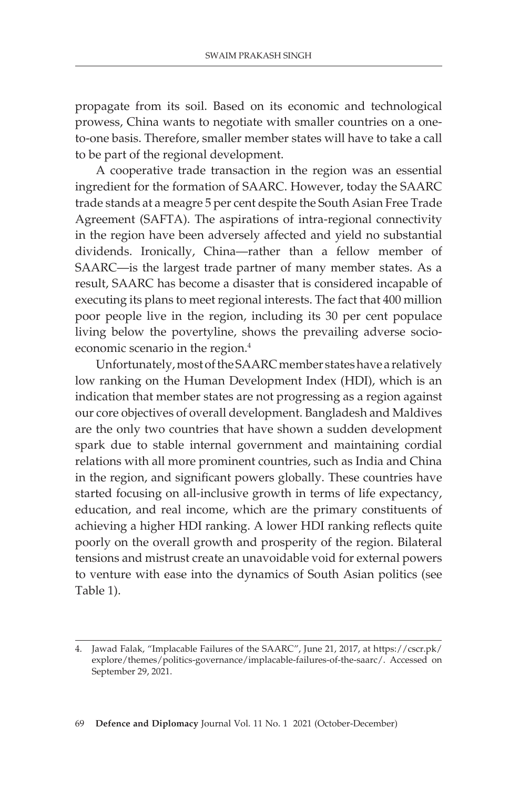propagate from its soil. Based on its economic and technological prowess, China wants to negotiate with smaller countries on a oneto-one basis. Therefore, smaller member states will have to take a call to be part of the regional development.

A cooperative trade transaction in the region was an essential ingredient for the formation of SAARC. However, today the SAARC trade stands at a meagre 5 per cent despite the South Asian Free Trade Agreement (SAFTA). The aspirations of intra-regional connectivity in the region have been adversely affected and yield no substantial dividends. Ironically, China—rather than a fellow member of SAARC—is the largest trade partner of many member states. As a result, SAARC has become a disaster that is considered incapable of executing its plans to meet regional interests. The fact that 400 million poor people live in the region, including its 30 per cent populace living below the povertyline, shows the prevailing adverse socioeconomic scenario in the region.4

Unfortunately, most of the SAARC member states have a relatively low ranking on the Human Development Index (HDI), which is an indication that member states are not progressing as a region against our core objectives of overall development. Bangladesh and Maldives are the only two countries that have shown a sudden development spark due to stable internal government and maintaining cordial relations with all more prominent countries, such as India and China in the region, and significant powers globally. These countries have started focusing on all-inclusive growth in terms of life expectancy, education, and real income, which are the primary constituents of achieving a higher HDI ranking. A lower HDI ranking reflects quite poorly on the overall growth and prosperity of the region. Bilateral tensions and mistrust create an unavoidable void for external powers to venture with ease into the dynamics of South Asian politics (see Table 1).

<sup>4.</sup> Jawad Falak, "Implacable Failures of the SAARC", June 21, 2017, at https://cscr.pk/ explore/themes/politics-governance/implacable-failures-of-the-saarc/. Accessed on September 29, 2021.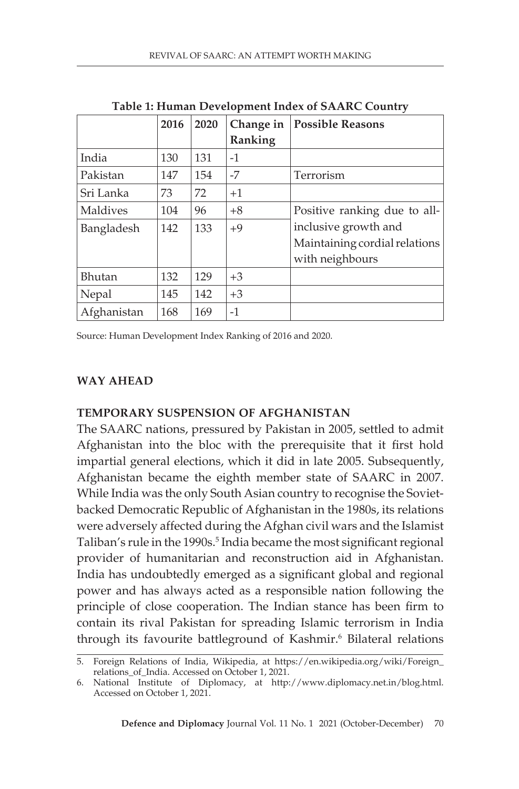|             | 2016 | 2020 | Change in | <b>Possible Reasons</b>       |  |
|-------------|------|------|-----------|-------------------------------|--|
|             |      |      | Ranking   |                               |  |
| India       | 130  | 131  | $-1$      |                               |  |
| Pakistan    | 147  | 154  | $-7$      | Terrorism                     |  |
| Sri Lanka   | 73   | 72   | $+1$      |                               |  |
| Maldives    | 104  | 96   | $+8$      | Positive ranking due to all-  |  |
| Bangladesh  | 142  | 133  | $+9$      | inclusive growth and          |  |
|             |      |      |           | Maintaining cordial relations |  |
|             |      |      |           | with neighbours               |  |
| Bhutan      | 132  | 129  | $+3$      |                               |  |
| Nepal       | 145  | 142  | $+3$      |                               |  |
| Afghanistan | 168  | 169  | $-1$      |                               |  |

**Table 1: Human Development Index of SAARC Country**

Source: Human Development Index Ranking of 2016 and 2020.

#### **WAY AHEAD**

#### **TEMPORARY SUSPENSION OF AFGHANISTAN**

The SAARC nations, pressured by Pakistan in 2005, settled to admit Afghanistan into the bloc with the prerequisite that it first hold impartial general elections, which it did in late 2005. Subsequently, Afghanistan became the eighth member state of SAARC in 2007. While India was the only South Asian country to recognise the Sovietbacked Democratic Republic of Afghanistan in the 1980s, its relations were adversely affected during the Afghan civil wars and the Islamist Taliban's rule in the 1990s.<sup>5</sup> India became the most significant regional provider of humanitarian and reconstruction aid in Afghanistan. India has undoubtedly emerged as a significant global and regional power and has always acted as a responsible nation following the principle of close cooperation. The Indian stance has been firm to contain its rival Pakistan for spreading Islamic terrorism in India through its favourite battleground of Kashmir.<sup>6</sup> Bilateral relations

<sup>5.</sup> Foreign Relations of India, Wikipedia, at https://en.wikipedia.org/wiki/Foreign\_ relations\_of\_India. Accessed on October 1, 2021.

<sup>6.</sup> National Institute of Diplomacy, at http://www.diplomacy.net.in/blog.html. Accessed on October 1, 2021.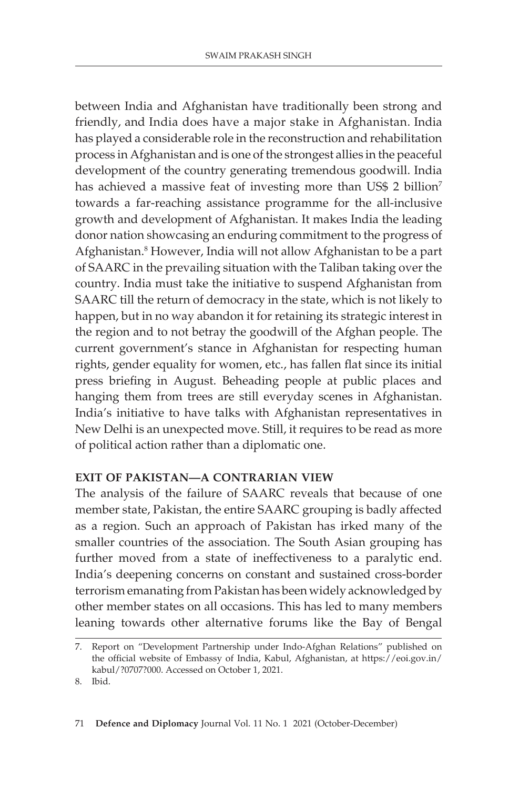between India and Afghanistan have traditionally been strong and friendly, and India does have a major stake in Afghanistan. India has played a considerable role in the reconstruction and rehabilitation process in Afghanistan and is one of the strongest allies in the peaceful development of the country generating tremendous goodwill. India has achieved a massive feat of investing more than US\$ 2 billion<sup>7</sup> towards a far-reaching assistance programme for the all-inclusive growth and development of Afghanistan. It makes India the leading donor nation showcasing an enduring commitment to the progress of Afghanistan.<sup>8</sup> However, India will not allow Afghanistan to be a part of SAARC in the prevailing situation with the Taliban taking over the country. India must take the initiative to suspend Afghanistan from SAARC till the return of democracy in the state, which is not likely to happen, but in no way abandon it for retaining its strategic interest in the region and to not betray the goodwill of the Afghan people. The current government's stance in Afghanistan for respecting human rights, gender equality for women, etc., has fallen flat since its initial press briefing in August. Beheading people at public places and hanging them from trees are still everyday scenes in Afghanistan. India's initiative to have talks with Afghanistan representatives in New Delhi is an unexpected move. Still, it requires to be read as more of political action rather than a diplomatic one.

#### **EXIT OF PAKISTAN—A CONTRARIAN VIEW**

The analysis of the failure of SAARC reveals that because of one member state, Pakistan, the entire SAARC grouping is badly affected as a region. Such an approach of Pakistan has irked many of the smaller countries of the association. The South Asian grouping has further moved from a state of ineffectiveness to a paralytic end. India's deepening concerns on constant and sustained cross-border terrorism emanating from Pakistan has been widely acknowledged by other member states on all occasions. This has led to many members leaning towards other alternative forums like the Bay of Bengal

<sup>7.</sup> Report on "Development Partnership under Indo-Afghan Relations" published on the official website of Embassy of India, Kabul, Afghanistan, at https://eoi.gov.in/ kabul/?0707?000. Accessed on October 1, 2021.

<sup>8.</sup> Ibid.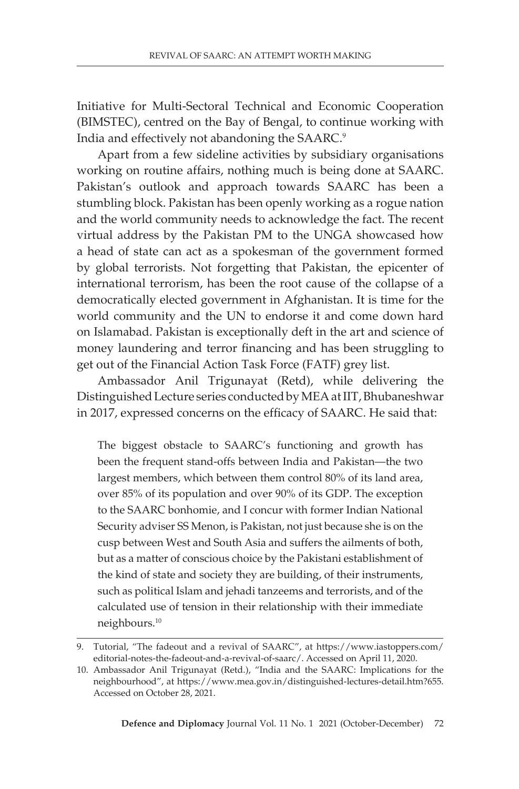Initiative for Multi-Sectoral Technical and Economic Cooperation (BIMSTEC), centred on the Bay of Bengal, to continue working with India and effectively not abandoning the SAARC.9

Apart from a few sideline activities by subsidiary organisations working on routine affairs, nothing much is being done at SAARC. Pakistan's outlook and approach towards SAARC has been a stumbling block. Pakistan has been openly working as a rogue nation and the world community needs to acknowledge the fact. The recent virtual address by the Pakistan PM to the UNGA showcased how a head of state can act as a spokesman of the government formed by global terrorists. Not forgetting that Pakistan, the epicenter of international terrorism, has been the root cause of the collapse of a democratically elected government in Afghanistan. It is time for the world community and the UN to endorse it and come down hard on Islamabad. Pakistan is exceptionally deft in the art and science of money laundering and terror financing and has been struggling to get out of the Financial Action Task Force (FATF) grey list.

Ambassador Anil Trigunayat (Retd), while delivering the Distinguished Lecture series conducted by MEA at IIT, Bhubaneshwar in 2017, expressed concerns on the efficacy of SAARC. He said that:

The biggest obstacle to SAARC's functioning and growth has been the frequent stand-offs between India and Pakistan—the two largest members, which between them control 80% of its land area, over 85% of its population and over 90% of its GDP. The exception to the SAARC bonhomie, and I concur with former Indian National Security adviser SS Menon, is Pakistan, not just because she is on the cusp between West and South Asia and suffers the ailments of both, but as a matter of conscious choice by the Pakistani establishment of the kind of state and society they are building, of their instruments, such as political Islam and jehadi tanzeems and terrorists, and of the calculated use of tension in their relationship with their immediate neighbours.10

<sup>9.</sup> Tutorial, "The fadeout and a revival of SAARC", at https://www.iastoppers.com/ editorial-notes-the-fadeout-and-a-revival-of-saarc/. Accessed on April 11, 2020.

<sup>10.</sup> Ambassador Anil Trigunayat (Retd.), "India and the SAARC: Implications for the neighbourhood", at https://www.mea.gov.in/distinguished-lectures-detail.htm?655. Accessed on October 28, 2021.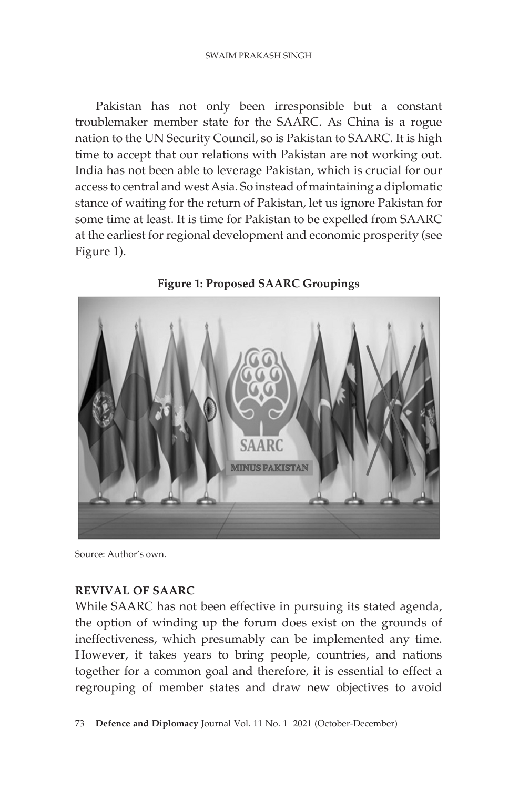Pakistan has not only been irresponsible but a constant troublemaker member state for the SAARC. As China is a rogue nation to the UN Security Council, so is Pakistan to SAARC. It is high time to accept that our relations with Pakistan are not working out. India has not been able to leverage Pakistan, which is crucial for our access to central and west Asia. So instead of maintaining a diplomatic stance of waiting for the return of Pakistan, let us ignore Pakistan for some time at least. It is time for Pakistan to be expelled from SAARC at the earliest for regional development and economic prosperity (see Figure 1).





Source: Author's own.

#### **REVIVAL OF SAARC**

While SAARC has not been effective in pursuing its stated agenda, the option of winding up the forum does exist on the grounds of ineffectiveness, which presumably can be implemented any time. However, it takes years to bring people, countries, and nations together for a common goal and therefore*,* it is essential to effect a regrouping of member states and draw new objectives to avoid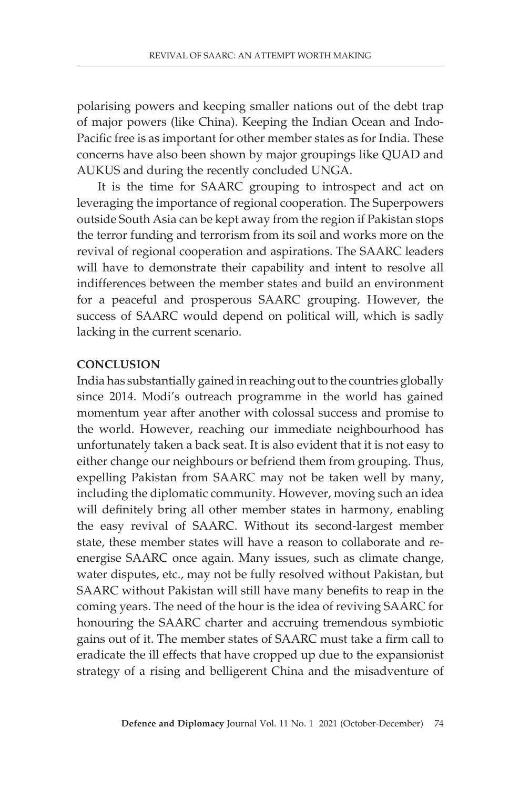polarising powers and keeping smaller nations out of the debt trap of major powers (like China). Keeping the Indian Ocean and Indo-Pacific free is as important for other member states as for India. These concerns have also been shown by major groupings like QUAD and AUKUS and during the recently concluded UNGA.

It is the time for SAARC grouping to introspect and act on leveraging the importance of regional cooperation. The Superpowers outside South Asia can be kept away from the region if Pakistan stops the terror funding and terrorism from its soil and works more on the revival of regional cooperation and aspirations. The SAARC leaders will have to demonstrate their capability and intent to resolve all indifferences between the member states and build an environment for a peaceful and prosperous SAARC grouping. However, the success of SAARC would depend on political will, which is sadly lacking in the current scenario.

#### **CONCLUSION**

India has substantially gained in reaching out to the countries globally since 2014. Modi's outreach programme in the world has gained momentum year after another with colossal success and promise to the world. However, reaching our immediate neighbourhood has unfortunately taken a back seat. It is also evident that it is not easy to either change our neighbours or befriend them from grouping. Thus, expelling Pakistan from SAARC may not be taken well by many, including the diplomatic community. However, moving such an idea will definitely bring all other member states in harmony, enabling the easy revival of SAARC. Without its second-largest member state, these member states will have a reason to collaborate and reenergise SAARC once again. Many issues, such as climate change, water disputes, etc., may not be fully resolved without Pakistan, but SAARC without Pakistan will still have many benefits to reap in the coming years. The need of the hour is the idea of reviving SAARC for honouring the SAARC charter and accruing tremendous symbiotic gains out of it. The member states of SAARC must take a firm call to eradicate the ill effects that have cropped up due to the expansionist strategy of a rising and belligerent China and the misadventure of